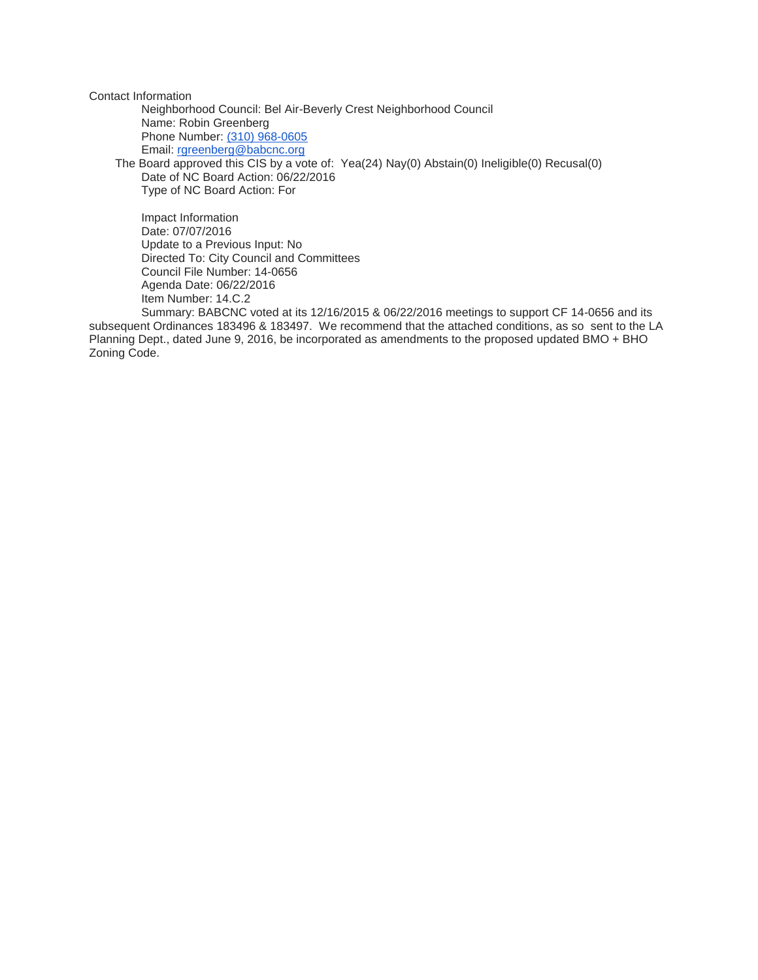Contact Information

Neighborhood Council: Bel Air-Beverly Crest Neighborhood Council Name: Robin Greenberg Phone Number: [\(310\) 968-0605](tel:%28310%29%20968-0605) Email: [rgreenberg@babcnc.org](mailto:rgreenberg@babcnc.org) The Board approved this CIS by a vote of: Yea(24) Nay(0) Abstain(0) Ineligible(0) Recusal(0) Date of NC Board Action: 06/22/2016

Type of NC Board Action: For

Impact Information Date: 07/07/2016 Update to a Previous Input: No Directed To: City Council and Committees Council File Number: 14-0656 Agenda Date: 06/22/2016 Item Number: 14.C.2

Summary: BABCNC voted at its 12/16/2015 & 06/22/2016 meetings to support CF 14-0656 and its subsequent Ordinances 183496 & 183497. We recommend that the attached conditions, as so sent to the LA Planning Dept., dated June 9, 2016, be incorporated as amendments to the proposed updated BMO + BHO Zoning Code.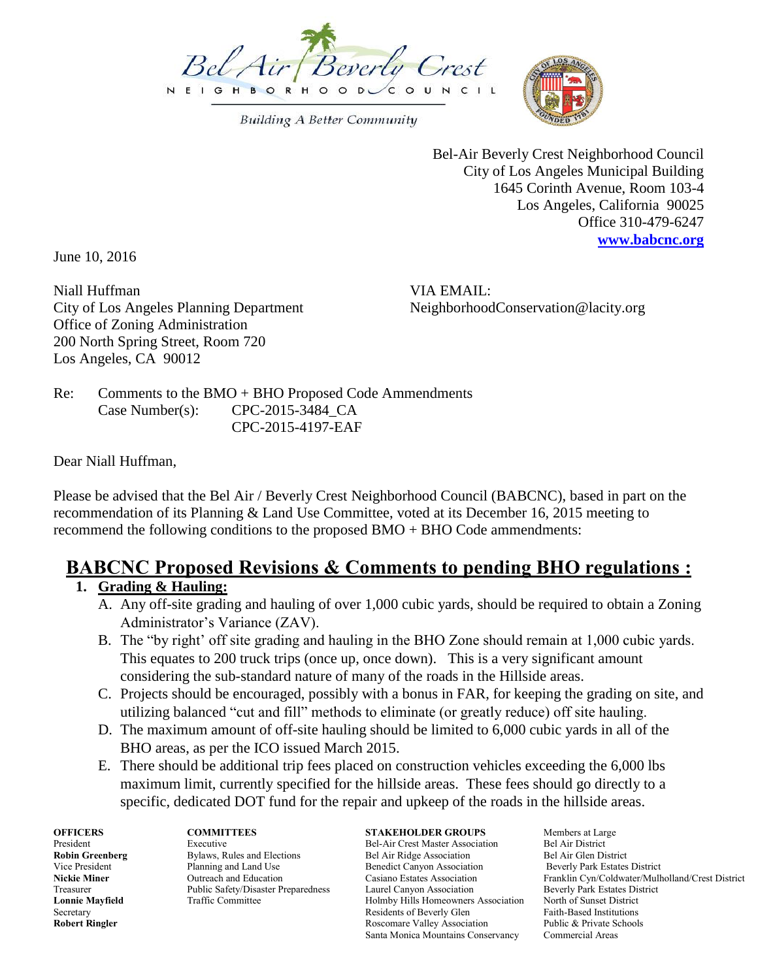

**Building A Better Community** 



Bel-Air Beverly Crest Neighborhood Council City of Los Angeles Municipal Building 1645 Corinth Avenue, Room 103-4 Los Angeles, California 90025 Office 310-479-6247 **[www.babcnc.org](http://www.babcnc.org/)**

June 10, 2016

Niall Huffman **VIA EMAIL:** City of Los Angeles Planning Department NeighborhoodConservation@lacity.org Office of Zoning Administration 200 North Spring Street, Room 720 Los Angeles, CA 90012

Re: Comments to the BMO + BHO Proposed Code Ammendments Case Number(s): CPC-2015-3484 CA CPC-2015-4197-EAF

Dear Niall Huffman,

Please be advised that the Bel Air / Beverly Crest Neighborhood Council (BABCNC), based in part on the recommendation of its Planning & Land Use Committee, voted at its December 16, 2015 meeting to recommend the following conditions to the proposed BMO + BHO Code ammendments:

# **BABCNC Proposed Revisions & Comments to pending BHO regulations :**

## **1. Grading & Hauling:**

- A. Any off-site grading and hauling of over 1,000 cubic yards, should be required to obtain a Zoning Administrator's Variance (ZAV).
- B. The "by right' off site grading and hauling in the BHO Zone should remain at 1,000 cubic yards. This equates to 200 truck trips (once up, once down). This is a very significant amount considering the sub-standard nature of many of the roads in the Hillside areas.
- C. Projects should be encouraged, possibly with a bonus in FAR, for keeping the grading on site, and utilizing balanced "cut and fill" methods to eliminate (or greatly reduce) off site hauling.
- D. The maximum amount of off-site hauling should be limited to 6,000 cubic yards in all of the BHO areas, as per the ICO issued March 2015.
- E. There should be additional trip fees placed on construction vehicles exceeding the 6,000 lbs maximum limit, currently specified for the hillside areas. These fees should go directly to a specific, dedicated DOT fund for the repair and upkeep of the roads in the hillside areas.

**OFFICERS COMMITTEES STAKEHOLDER GROUPS** Members at Large **President Executive Bel-Air Crest Master Association Bel Air District** President Executive Executive Bel-Air Crest Master Association Bel Air District<br> **Robin Greenberg** Bylaws, Rules and Elections Bel Air Ridge Association Bel Air Glen District **Robin Greenberg** Bylaws, Rules and Elections Bel Air Ridge Association Bel Air Glen District<br>
19 Vice President Planning and Land Use Benedict Canyon Association Beverly Park Estates District Benedict Canyon Association Treasurer Public Safety/Disaster Preparedness Laurel Canyon Association Beverly Park Estates District **Lonnie Mayfield** Traffic Committee **Traffic Committee Holmby Hills Homeowners Association** North of Sunset District Secretary **Residents of Beverly Glen** Faith-Based Institutions **Robert Ringler <b>Rosciation** Roscomare Valley Association Public & Private Schools Santa Monica Mountains Conservancy Commercial Areas

**Nickie Miner Casiano Education** Casiano Estates Association Franklin Cyn/Coldwater/Mulholland/Crest District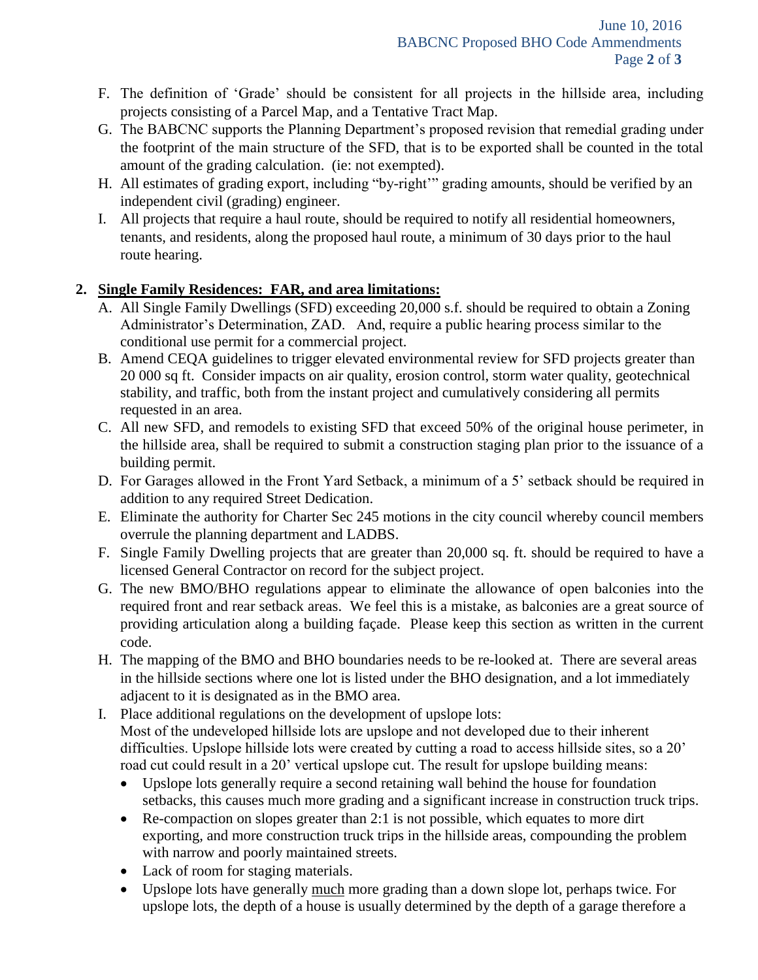- F. The definition of 'Grade' should be consistent for all projects in the hillside area, including projects consisting of a Parcel Map, and a Tentative Tract Map.
- G. The BABCNC supports the Planning Department's proposed revision that remedial grading under the footprint of the main structure of the SFD, that is to be exported shall be counted in the total amount of the grading calculation. (ie: not exempted).
- H. All estimates of grading export, including "by-right'" grading amounts, should be verified by an independent civil (grading) engineer.
- I. All projects that require a haul route, should be required to notify all residential homeowners, tenants, and residents, along the proposed haul route, a minimum of 30 days prior to the haul route hearing.

## **2. Single Family Residences: FAR, and area limitations:**

- A. All Single Family Dwellings (SFD) exceeding 20,000 s.f. should be required to obtain a Zoning Administrator's Determination, ZAD. And, require a public hearing process similar to the conditional use permit for a commercial project.
- B. Amend CEQA guidelines to trigger elevated environmental review for SFD projects greater than 20 000 sq ft. Consider impacts on air quality, erosion control, storm water quality, geotechnical stability, and traffic, both from the instant project and cumulatively considering all permits requested in an area.
- C. All new SFD, and remodels to existing SFD that exceed 50% of the original house perimeter, in the hillside area, shall be required to submit a construction staging plan prior to the issuance of a building permit.
- D. For Garages allowed in the Front Yard Setback, a minimum of a 5' setback should be required in addition to any required Street Dedication.
- E. Eliminate the authority for Charter Sec 245 motions in the city council whereby council members overrule the planning department and LADBS.
- F. Single Family Dwelling projects that are greater than 20,000 sq. ft. should be required to have a licensed General Contractor on record for the subject project.
- G. The new BMO/BHO regulations appear to eliminate the allowance of open balconies into the required front and rear setback areas. We feel this is a mistake, as balconies are a great source of providing articulation along a building façade. Please keep this section as written in the current code.
- H. The mapping of the BMO and BHO boundaries needs to be re-looked at. There are several areas in the hillside sections where one lot is listed under the BHO designation, and a lot immediately adjacent to it is designated as in the BMO area.
- I. Place additional regulations on the development of upslope lots: Most of the undeveloped hillside lots are upslope and not developed due to their inherent difficulties. Upslope hillside lots were created by cutting a road to access hillside sites, so a 20' road cut could result in a 20' vertical upslope cut. The result for upslope building means:
	- Upslope lots generally require a second retaining wall behind the house for foundation setbacks, this causes much more grading and a significant increase in construction truck trips.
	- Re-compaction on slopes greater than 2:1 is not possible, which equates to more dirt exporting, and more construction truck trips in the hillside areas, compounding the problem with narrow and poorly maintained streets.
	- Lack of room for staging materials.
	- Upslope lots have generally much more grading than a down slope lot, perhaps twice. For upslope lots, the depth of a house is usually determined by the depth of a garage therefore a